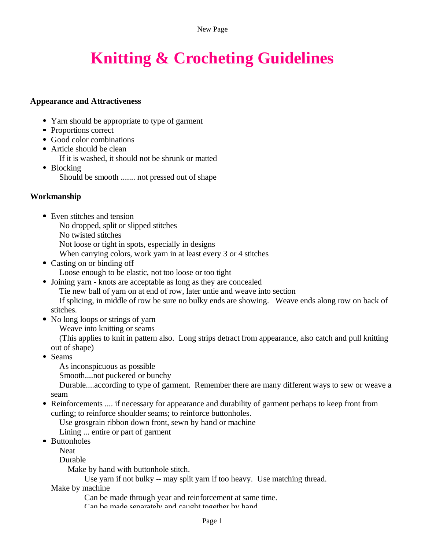New Page

## **Knitting & Crocheting Guidelines**

## **Appearance and Attractiveness**

- Yarn should be appropriate to type of garment
- Proportions correct
- Good color combinations
- Article should be clean
	- If it is washed, it should not be shrunk or matted
- Blocking Should be smooth ....... not pressed out of shape

## **Workmanship**

- Even stitches and tension
	- No dropped, split or slipped stitches
	- No twisted stitches
	- Not loose or tight in spots, especially in designs
	- When carrying colors, work yarn in at least every 3 or 4 stitches
- Casting on or binding off
	- Loose enough to be elastic, not too loose or too tight
- Joining yarn knots are acceptable as long as they are concealed
	- Tie new ball of yarn on at end of row, later untie and weave into section
	- If splicing, in middle of row be sure no bulky ends are showing. Weave ends along row on back of stitches.
- No long loops or strings of yarn
	- Weave into knitting or seams
	- (This applies to knit in pattern also. Long strips detract from appearance, also catch and pull knitting out of shape)
- Seams
	- As inconspicuous as possible
	- Smooth....not puckered or bunchy
	- Durable....according to type of garment. Remember there are many different ways to sew or weave a seam
- Reinforcements .... if necessary for appearance and durability of garment perhaps to keep front from curling; to reinforce shoulder seams; to reinforce buttonholes.
	- Use grosgrain ribbon down front, sewn by hand or machine
	- Lining ... entire or part of garment
- Buttonholes
	- Neat
		- Durable
			- Make by hand with buttonhole stitch.
				- Use yarn if not bulky -- may split yarn if too heavy. Use matching thread.
	- Make by machine
		- Can be made through year and reinforcement at same time.
		- Can be made separately and caught together by hand